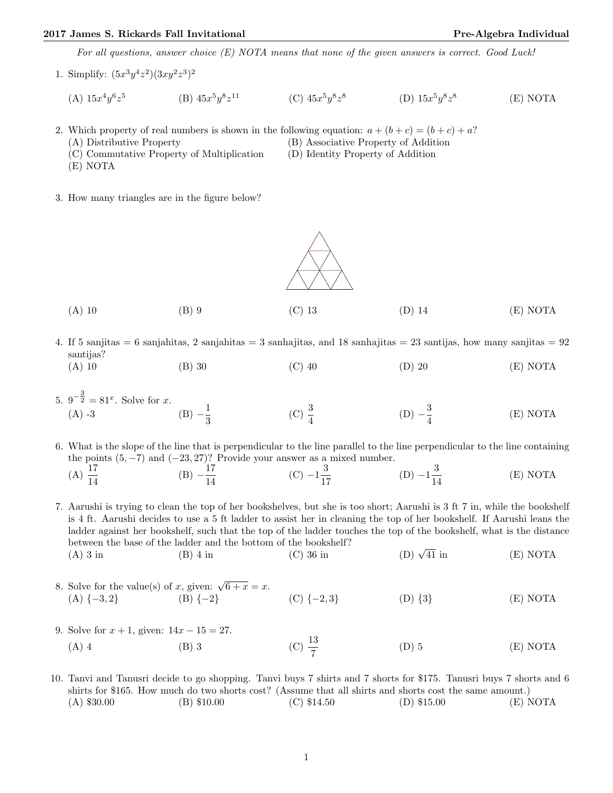## 2017 James S. Rickards Fall Invitational **Pre-Algebra Individual** Pre-Algebra Individual

For all questions, answer choice (E) NOTA means that none of the given answers is correct. Good Luck!

1. Simplify:  $(5x^3y^4z^2)(3xy^2z^3)^2$ 

(A)  $15x^4y^6z^5$ (B)  $45x^5y^8z$ <sup>11</sup> (C)  $45x^5y^8z^8$ (D)  $15x^5y^8z^8$ (E) NOTA

- 2. Which property of real numbers is shown in the following equation:  $a + (b + c) = (b + c) + a$ ? (A) Distributive Property (B) Associative Property of Addition
	-
	-
	- (E) NOTA
	- (C) Commutative Property of Multiplication (D) Identity Property of Addition
- 3. How many triangles are in the figure below?



- (A) 10 (B) 9 (C) 13 (D) 14 (E) NOTA
- 4. If 5 sanjitas = 6 sanjahitas, 2 sanjahitas = 3 sanhajitas, and 18 sanhajitas = 23 santijas, how many sanjitas = 92 santijas?
	- (A) 10 (B) 30 (C) 40 (D) 20 (E) NOTA
- 5.  $9^{-\frac{3}{2}} = 81^x$ . Solve for x. (A) -3 (B)  $-\frac{1}{3}$ 3 (C)  $\frac{3}{4}$  $(D) -\frac{3}{4}$ 4 (E) NOTA
- 6. What is the slope of the line that is perpendicular to the line parallel to the line perpendicular to the line containing the points  $(5, -7)$  and  $(-23, 27)$ ? Provide your answer as a mixed number.

(A) 
$$
\frac{17}{14}
$$
 \t\t (B)  $-\frac{17}{14}$  \t\t (C)  $-1\frac{3}{17}$  \t\t (D)  $-1\frac{3}{14}$  \t\t (E) NOTA

7. Aarushi is trying to clean the top of her bookshelves, but she is too short; Aarushi is 3 ft 7 in, while the bookshelf is 4 ft. Aarushi decides to use a 5 ft ladder to assist her in cleaning the top of her bookshelf. If Aarushi leans the ladder against her bookshelf, such that the top of the ladder touches the top of the bookshelf, what is the distance between the base of the ladder and the bottom of the bookshelf?<br>
(A) 3 in (B) 4 in (C) 36 in (D)  $\sqrt$ (D)  $\sqrt{41}$  in (E) NOTA

- 8. Solve for the value(s) of x, given:  $\sqrt{6 + x} = x$ . (A)  $\{-3, 2\}$  (B)  $\{-2\}$  (C)  $\{-2, 3\}$  (D)  $\{3\}$  (E) NOTA
- 9. Solve for  $x + 1$ , given:  $14x 15 = 27$ . (A) 4 (B) 3 (C)  $\frac{13}{7}$  $(D) 5$   $(E) NOTA$
- 10. Tanvi and Tanusri decide to go shopping. Tanvi buys 7 shirts and 7 shorts for \$175. Tanusri buys 7 shorts and 6 shirts for \$165. How much do two shorts cost? (Assume that all shirts and shorts cost the same amount.) (A) \$30.00 (B) \$10.00 (C) \$14.50 (D) \$15.00 (E) NOTA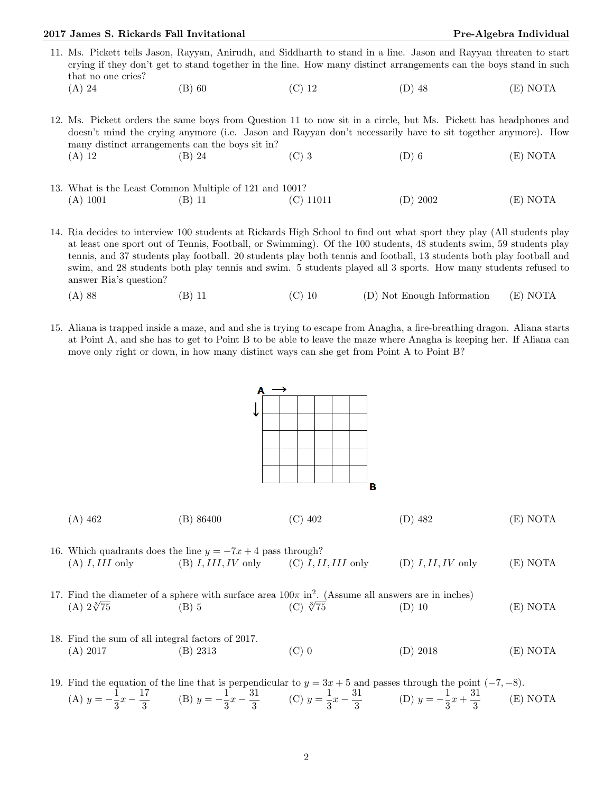## 2017 James S. Rickards Fall Invitational **Pre-Algebra Individual** Pre-Algebra Individual

11. Ms. Pickett tells Jason, Rayyan, Anirudh, and Siddharth to stand in a line. Jason and Rayyan threaten to start crying if they don't get to stand together in the line. How many distinct arrangements can the boys stand in such that no one cries? (A) 24 (B) 60 (C) 12 (D) 48 (E) NOTA

12. Ms. Pickett orders the same boys from Question 11 to now sit in a circle, but Ms. Pickett has headphones and doesn't mind the crying anymore (i.e. Jason and Rayyan don't necessarily have to sit together anymore). How many distinct arrangements can the boys sit in? (A) 12 (B) 24 (C) 3 (D) 6 (E) NOTA

- 13. What is the Least Common Multiple of 121 and 1001? (A) 1001 (B) 11 (C) 11011 (D) 2002 (E) NOTA
- 14. Ria decides to interview 100 students at Rickards High School to find out what sport they play (All students play at least one sport out of Tennis, Football, or Swimming). Of the 100 students, 48 students swim, 59 students play tennis, and 37 students play football. 20 students play both tennis and football, 13 students both play football and swim, and 28 students both play tennis and swim. 5 students played all 3 sports. How many students refused to answer Ria's question?
	- (A) 88 (B) 11 (C) 10 (D) Not Enough Information (E) NOTA
- 15. Aliana is trapped inside a maze, and and she is trying to escape from Anagha, a fire-breathing dragon. Aliana starts at Point A, and she has to get to Point B to be able to leave the maze where Anagha is keeping her. If Aliana can move only right or down, in how many distinct ways can she get from Point A to Point B?



| $(A)$ 462<br>$(C)$ 402<br>(B) 86400 | $(D)$ 482 | (E) NOTA |
|-------------------------------------|-----------|----------|
|-------------------------------------|-----------|----------|

- 16. Which quadrants does the line  $y = -7x + 4$  pass through? (A) I, III only (B) I, III, IV only (C) I, II, III only (D) I, II, IV only (E) NOTA
- 17. Find the diameter of a sphere with surface area  $100\pi$  in<sup>2</sup>. (Assume all answers are in inches)<br>
(A)  $2\sqrt[3]{75}$  (B) 5 (C)  $\sqrt[3]{75}$  (D) 10  $(A) 2\sqrt[3]{75}$ (C)  $\sqrt[3]{75}$  (D) 10 (E) NOTA
- 18. Find the sum of all integral factors of 2017. (A) 2017 (B) 2313 (C) 0 (D) 2018 (E) NOTA

19. Find the equation of the line that is perpendicular to  $y = 3x + 5$  and passes through the point  $(-7, -8)$ . (A)  $y = -\frac{1}{2}$  $\frac{1}{3}x - \frac{17}{3}$  $\frac{17}{3}$  (B)  $y = -\frac{1}{3}$  $rac{1}{3}x-\frac{31}{3}$  $\frac{31}{3}$  (C)  $y = \frac{1}{3}$  $rac{1}{3}x-\frac{31}{3}$  $rac{31}{3}$  (D)  $y = -\frac{1}{3}$  $\frac{1}{3}x + \frac{31}{3}$  $\frac{\pi}{3}$  (E) NOTA